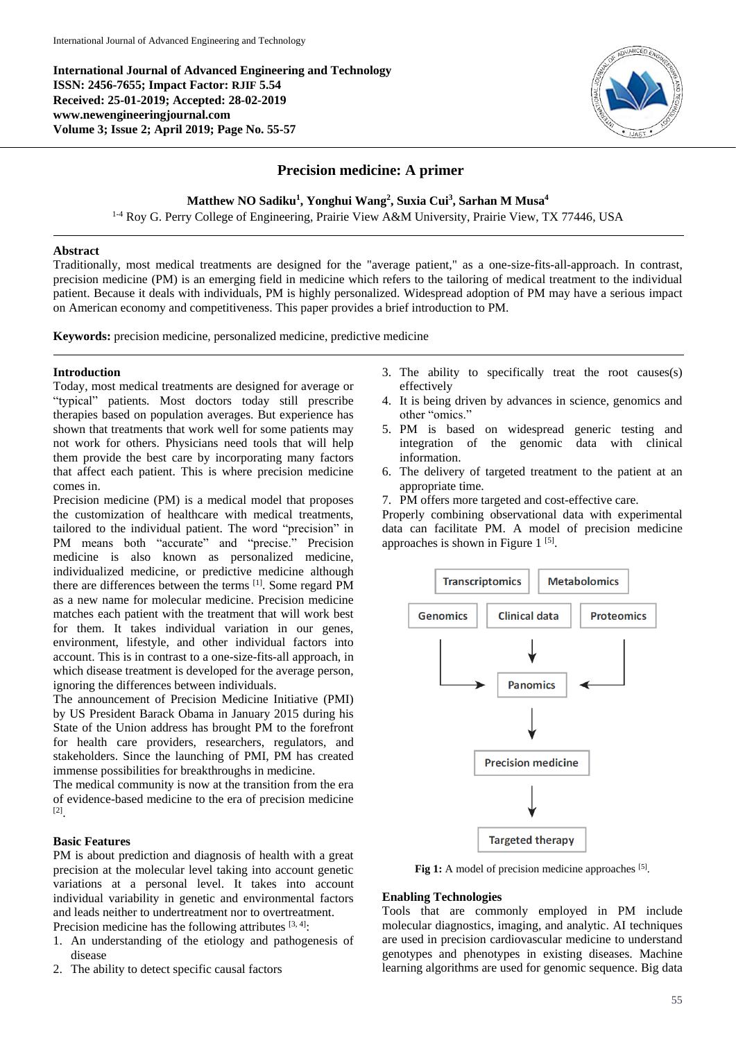**International Journal of Advanced Engineering and Technology ISSN: 2456-7655; Impact Factor: RJIF 5.54 Received: 25-01-2019; Accepted: 28-02-2019 www.newengineeringjournal.com Volume 3; Issue 2; April 2019; Page No. 55-57**



# **Precision medicine: A primer**

**Matthew NO Sadiku<sup>1</sup> , Yonghui Wang<sup>2</sup> , Suxia Cui<sup>3</sup> , Sarhan M Musa<sup>4</sup>**

1-4 Roy G. Perry College of Engineering, Prairie View A&M University, Prairie View, TX 77446, USA

# **Abstract**

Traditionally, most medical treatments are designed for the "average patient," as a one-size-fits-all-approach. In contrast, precision medicine (PM) is an emerging field in medicine which refers to the tailoring of medical treatment to the individual patient. Because it deals with individuals, PM is highly personalized. Widespread adoption of PM may have a serious impact on American economy and competitiveness. This paper provides a brief introduction to PM.

**Keywords:** precision medicine, personalized medicine, predictive medicine

# **Introduction**

Today, most medical treatments are designed for average or "typical" patients. Most doctors today still prescribe therapies based on population averages. But experience has shown that treatments that work well for some patients may not work for others. Physicians need tools that will help them provide the best care by incorporating many factors that affect each patient. This is where precision medicine comes in.

Precision medicine (PM) is a medical model that proposes the customization of healthcare with medical treatments, tailored to the individual patient. The word "precision" in PM means both "accurate" and "precise." Precision medicine is also known as personalized medicine, individualized medicine, or predictive medicine although there are differences between the terms [1]. Some regard PM as a new name for molecular medicine. Precision medicine matches each patient with the treatment that will work best for them. It takes individual variation in our genes, environment, lifestyle, and other individual factors into account. This is in contrast to a one-size-fits-all approach, in which disease treatment is developed for the average person, ignoring the differences between individuals.

The announcement of Precision Medicine Initiative (PMI) by US President Barack Obama in January 2015 during his State of the Union address has brought PM to the forefront for health care providers, researchers, regulators, and stakeholders. Since the launching of PMI, PM has created immense possibilities for breakthroughs in medicine.

The medical community is now at the transition from the era of evidence-based medicine to the era of precision medicine [2] .

### **Basic Features**

PM is about prediction and diagnosis of health with a great precision at the molecular level taking into account genetic variations at a personal level. It takes into account individual variability in genetic and environmental factors and leads neither to undertreatment nor to overtreatment. Precision medicine has the following attributes  $[3, 4]$ :

- 1. An understanding of the etiology and pathogenesis of disease
- 2. The ability to detect specific causal factors
- 3. The ability to specifically treat the root causes(s) effectively
- 4. It is being driven by advances in science, genomics and other "omics."
- 5. PM is based on widespread generic testing and integration of the genomic data with clinical information.
- 6. The delivery of targeted treatment to the patient at an appropriate time.
- 7. PM offers more targeted and cost-effective care.

Properly combining observational data with experimental data can facilitate PM. A model of precision medicine approaches is shown in Figure  $1<sup>[5]</sup>$ .



Fig 1: A model of precision medicine approaches [5].

### **Enabling Technologies**

Tools that are commonly employed in PM include molecular diagnostics, imaging, and analytic. AI techniques are used in precision cardiovascular medicine to understand genotypes and phenotypes in existing diseases. Machine learning algorithms are used for genomic sequence. Big data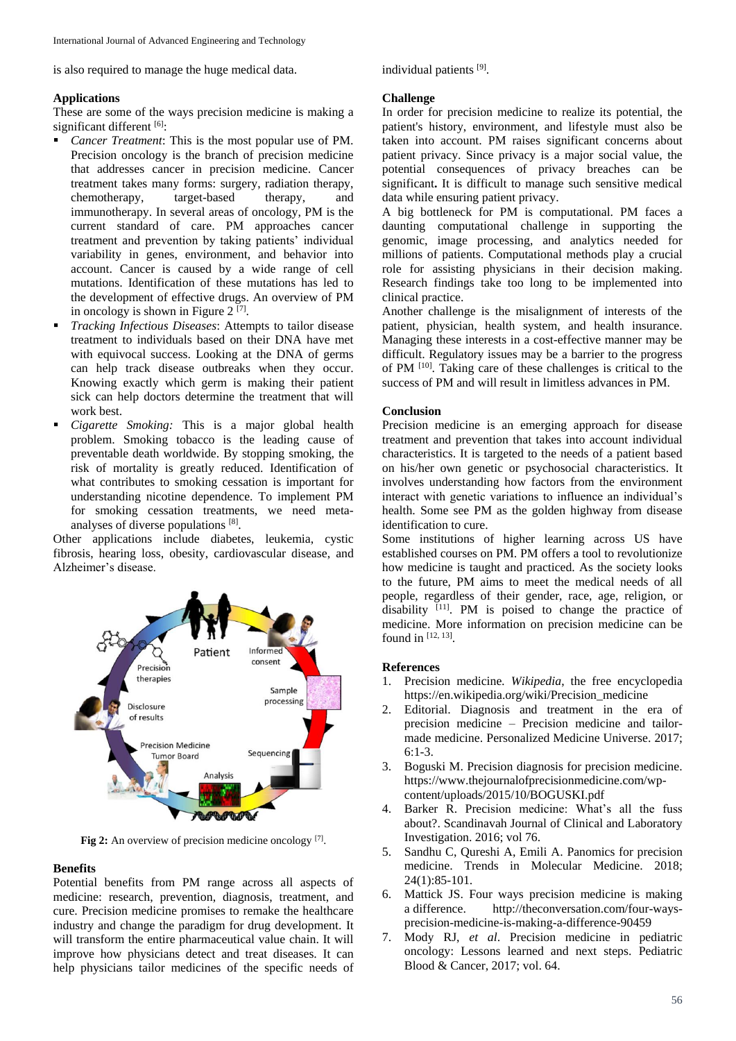is also required to manage the huge medical data.

## **Applications**

These are some of the ways precision medicine is making a significant different [6]:

- *Cancer Treatment*: This is the most popular use of PM. Precision oncology is the branch of precision medicine that addresses cancer in precision medicine. Cancer treatment takes many forms: surgery, radiation therapy, chemotherapy, target-based therapy, and immunotherapy. In several areas of oncology, PM is the current standard of care. PM approaches cancer treatment and prevention by taking patients' individual variability in genes, environment, and behavior into account. Cancer is caused by a wide range of cell mutations. Identification of these mutations has led to the development of effective drugs. An overview of PM in oncology is shown in Figure  $2^{[7]}$ .
- *Tracking Infectious Diseases*: Attempts to tailor disease treatment to individuals based on their DNA have met with equivocal success. Looking at the DNA of germs can help track disease outbreaks when they occur. Knowing exactly which germ is making their patient sick can help doctors determine the treatment that will work best.
- *Cigarette Smoking:* This is a major global health problem. Smoking tobacco is the leading cause of preventable death worldwide. By stopping smoking, the risk of mortality is greatly reduced. Identification of what contributes to smoking cessation is important for understanding nicotine dependence. To implement PM for smoking cessation treatments, we need metaanalyses of diverse populations [8].

Other applications include diabetes, leukemia, cystic fibrosis, hearing loss, obesity, cardiovascular disease, and Alzheimer's disease.



Fig 2: An overview of precision medicine oncology [7].

### **Benefits**

Potential benefits from PM range across all aspects of medicine: research, prevention, diagnosis, treatment, and cure. Precision medicine promises to remake the healthcare industry and change the paradigm for drug development. It will transform the entire pharmaceutical value chain. It will improve how physicians detect and treat diseases. It can help physicians tailor medicines of the specific needs of individual patients [9].

#### **Challenge**

In order for precision medicine to realize its potential, the patient's history, environment, and lifestyle must also be taken into account. PM raises significant concerns about patient privacy. Since privacy is a major social value, the potential consequences of privacy breaches can be significant**.** It is difficult to manage such sensitive medical data while ensuring patient privacy.

A big bottleneck for PM is computational. PM faces a daunting computational challenge in supporting the genomic, image processing, and analytics needed for millions of patients. Computational methods play a crucial role for assisting physicians in their decision making. Research findings take too long to be implemented into clinical practice.

Another challenge is the misalignment of interests of the patient, physician, health system, and health insurance. Managing these interests in a cost-effective manner may be difficult. Regulatory issues may be a barrier to the progress of PM<sup>[10]</sup>. Taking care of these challenges is critical to the success of PM and will result in limitless advances in PM.

# **Conclusion**

Precision medicine is an emerging approach for disease treatment and prevention that takes into account individual characteristics. It is targeted to the needs of a patient based on his/her own genetic or psychosocial characteristics. It involves understanding how factors from the environment interact with genetic variations to influence an individual's health. Some see PM as the golden highway from disease identification to cure.

Some institutions of higher learning across US have established courses on PM. PM offers a tool to revolutionize how medicine is taught and practiced. As the society looks to the future, PM aims to meet the medical needs of all people, regardless of their gender, race, age, religion, or disability [11] . PM is poised to change the practice of medicine. More information on precision medicine can be found in  $[12, 13]$ .

#### **References**

- 1. Precision medicine*. Wikipedia*, the free encyclopedia https://en.wikipedia.org/wiki/Precision\_medicine
- 2. Editorial. Diagnosis and treatment in the era of precision medicine – Precision medicine and tailormade medicine. Personalized Medicine Universe. 2017; 6:1-3.
- 3. Boguski M. Precision diagnosis for precision medicine. https://www.thejournalofprecisionmedicine.com/wpcontent/uploads/2015/10/BOGUSKI.pdf
- 4. Barker R. Precision medicine: What's all the fuss about?. Scandinavah Journal of Clinical and Laboratory Investigation. 2016; vol 76.
- 5. Sandhu C, Qureshi A, Emili A. Panomics for precision medicine. Trends in Molecular Medicine. 2018; 24(1):85-101.
- 6. Mattick JS. Four ways precision medicine is making a difference. http://theconversation.com/four-waysprecision-medicine-is-making-a-difference-90459
- 7. Mody RJ, *et al*. Precision medicine in pediatric oncology: Lessons learned and next steps. Pediatric Blood & Cancer, 2017; vol. 64.